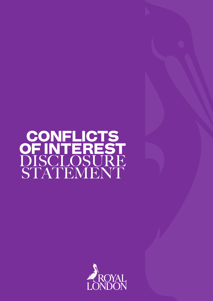# CONFLICTS OF INTEREST DISCLOSURE STATEMENT

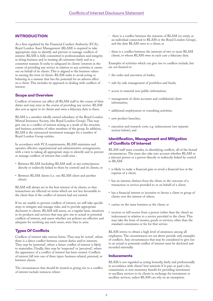# INTRODUCTION

As a firm regulated by the Financial Conduct Authority (FCA), Royal London Asset Management (RLAM) is required to take appropriate steps to identify and prevent or manage conflicts of interest. RLAM is fully committed to professionalism and integrity in doing business and to treating all customers fairly and in a consistent manner. It seeks to safeguard its clients' interests in the course of providing any service in relation to any activities it carries out on behalf of its clients. This is aligned to the business values in earning the trust of clients. RLAM seeks to avoid acting or behaving in a manner that has the potential for an adverse effect on a client. This includes its approach to dealing with conflicts of interest.

#### Scope and Overview

Conflicts of interest can affect all RLAM staff in the course of their duties and may arise in the course of providing any service. RLAM also acts as agent to its clients and owes a fiduciary duty to them.

RLAM is a member wholly owned subsidiary of the Royal London Mutual Insurance Society, (the Royal London Group). This may give rise to a conflict of interest arising as a result of the structure and business activities of other members of the group. In addition, RLAM is the outsourced investment manager for a number of Royal London Group entities.

In accordance with FCA requirements, RLAM maintains and operates effective organisational and administrative arrangements, with a view to taking all appropriate steps to identify and to prevent or manage conflicts of interest that could arise :

- Between RLAM (including RLAM staff, or any entity/person directly or indirectly linked to them by control) and its clients; or
- Between RLAM clients (i.e. one RLAM client and another client).

RLAM will always act in the best interest of its clients, so that transactions are effected on terms which are not less favourable to the client than if the conflict of interest had not existed.

If we are unable to prevent conflicts of interest, we will take specific steps to mitigate and manage risks, and to provide appropriate disclosure to clients. RLAM will assess, on a regular basis, situations in its products and services that may give rise to actual or potential conflicts of interest, and assess whether our policies are effective and adequate for resolving any such issues, were they to arise.

## Types Of Conflicts

Conflicts of interest take various forms. They may be 'actual', where there is a direct conflict between current duties and/or interests. They may be 'potential', where a future conflict of interest is likely to materialise. Finally, they may be 'suspected' or 'perceived', where the appearance of a conflict of interest has been created. Conflicts of interest fall into one of three types: business-related, personal, or between clients.

The circumstances that should be treated as giving rise to a conflict of interest include instances where:

- there is a conflict between the interests of RLAM (or entity or an individual connected to RLAM or the Royal London Group), and the duty RLAM owes to a client; or
- there is a conflict between the interests of two or more RLAM clients, to whom RLAM owes in each case a fiduciary duty.

Examples of activities which can give rise to conflicts include, but are not limited to:

- the order and execution of trades;
- side-by-side management of portfolios and funds;
- access to material non-public information;
- management of client accounts and confidential client information;
- additional employment or consulting activities;
- new product launches;
- execution and research costs, e.g. inducements (see separate section below); and

## Identification, Management and Mitigation of Conflicts Of Interest

RLAM staff must consider, in identifying conflicts, all of the factual circumstances. The must also take into account whether RLAM or a relevant person or a person directly or indirectly linked by control to RLAM:

- is likely to make a financial gain or avoid a financial loss at the expense of a client;
- has an interest, distinct from the client, in the outcome of a transaction or service provided to or on behalf of a client;
- has a financial interest or incentive to favour a client or group of clients over the interest of others;
- carries on the same business as the client; or
- receives or will receive from a person (other than the client) an inducement in relation to a service provided to the client. This may take the form of monies, goods or services, other than the standard commission or fee for that service.

RLAM strives to obtain a high level of awareness among all employees. The circumstances set out above provide only examples of conflicts. Any circumstances that may be considered to give rise to an actual or potential conflict of interest must be disclosed and recorded internally.

#### **Inducements**

RLAM is not regarded as acting honestly, fairly and professionally in accordance with clients' best interests if it pays or paid a fee, commission or non-monetary benefit for providing investment or ancillary services to its clients in exchange for investment or ancillary services, unless RLAM can rely on an exemption.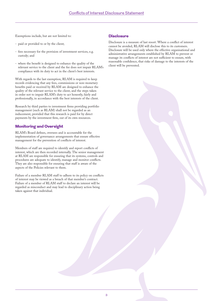Exemptions include, but are not limited to:

- paid or provided to or by the client;
- fees necessary for the provision of investment services, e.g. custody; and
- where the benefit is designed to enhance the quality of the relevant service to the client and the fee does not impair RLAM's compliance with its duty to act in the client's best interests.

With regards to the last exemption, RLAM is required to keep records evidencing that any fees, commissions or non-monetary benefits paid or received by RLAM are designed to enhance the quality of the relevant service to the client, and the steps taken in order not to impair RLAM's duty to act honestly, fairly and professionally, in accordance with the best interests of the client.

Research by third parties to investment firms providing portfolio management (such as RLAM) shall not be regarded as an inducement, provided that this research is paid for by direct payments by the investment firm, out of its own resources.

# Monitoring and Oversight

RLAM's Board defines, oversees and is accountable for the implementation of governance arrangements that ensure effective management for the prevention of conflicts of interest.

Members of staff are required to identify and report conflicts of interest, which are then recorded internally. The senior management at RLAM are responsible for ensuring that its systems, controls and procedures are adequate to identify, manage and monitor conflicts. They are also responsible for ensuring that staff is aware of the aspects of the Policies relevant to them.

Failure of a member RLAM staff to adhere to its policy on conflicts of interest may be viewed as a breach of that member's contract. Failure of a member of RLAM staff to declare an interest will be regarded as misconduct and may lead to disciplinary action being taken against that individual.

### **Disclosure**

Disclosure is a measure of last resort. Where a conflict of interest cannot be avoided, RLAM will disclose this to its customers. Disclosure will be used only where the effective organisational and administrative arrangements established by RLAM to prevent or manage its conflicts of interest are not sufficient to ensure, with reasonable confidence, that risks of damage to the interests of the client will be prevented.